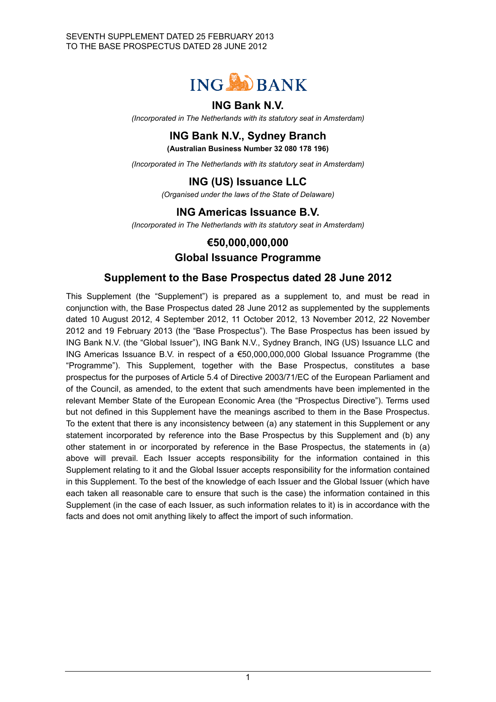

### **ING Bank N.V.**

*(Incorporated in The Netherlands with its statutory seat in Amsterdam)*

# **ING Bank N.V., Sydney Branch**

**(Australian Business Number 32 080 178 196)**

*(Incorporated in The Netherlands with its statutory seat in Amsterdam)*

# **ING (US) Issuance LLC**

*(Organised under the laws of the State of Delaware)*

## **ING Americas Issuance B.V.**

*(Incorporated in The Netherlands with its statutory seat in Amsterdam)*

## **€50,000,000,000**

#### **Global Issuance Programme**

#### **Supplement to the Base Prospectus dated 28 June 2012**

This Supplement (the "Supplement") is prepared as a supplement to, and must be read in conjunction with, the Base Prospectus dated 28 June 2012 as supplemented by the supplements dated 10 August 2012, 4 September 2012, 11 October 2012, 13 November 2012, 22 November 2012 and 19 February 2013 (the "Base Prospectus"). The Base Prospectus has been issued by ING Bank N.V. (the "Global Issuer"), ING Bank N.V., Sydney Branch, ING (US) Issuance LLC and ING Americas Issuance B.V. in respect of a €50,000,000,000 Global Issuance Programme (the "Programme"). This Supplement, together with the Base Prospectus, constitutes a base prospectus for the purposes of Article 5.4 of Directive 2003/71/EC of the European Parliament and of the Council, as amended, to the extent that such amendments have been implemented in the relevant Member State of the European Economic Area (the "Prospectus Directive"). Terms used but not defined in this Supplement have the meanings ascribed to them in the Base Prospectus. To the extent that there is any inconsistency between (a) any statement in this Supplement or any statement incorporated by reference into the Base Prospectus by this Supplement and (b) any other statement in or incorporated by reference in the Base Prospectus, the statements in (a) above will prevail. Each Issuer accepts responsibility for the information contained in this Supplement relating to it and the Global Issuer accepts responsibility for the information contained in this Supplement. To the best of the knowledge of each Issuer and the Global Issuer (which have each taken all reasonable care to ensure that such is the case) the information contained in this Supplement (in the case of each Issuer, as such information relates to it) is in accordance with the facts and does not omit anything likely to affect the import of such information.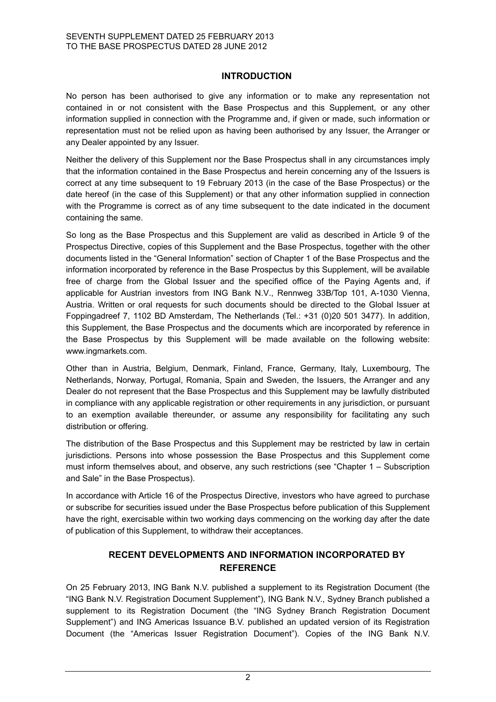#### **INTRODUCTION**

No person has been authorised to give any information or to make any representation not contained in or not consistent with the Base Prospectus and this Supplement, or any other information supplied in connection with the Programme and, if given or made, such information or representation must not be relied upon as having been authorised by any Issuer, the Arranger or any Dealer appointed by any Issuer.

Neither the delivery of this Supplement nor the Base Prospectus shall in any circumstances imply that the information contained in the Base Prospectus and herein concerning any of the Issuers is correct at any time subsequent to 19 February 2013 (in the case of the Base Prospectus) or the date hereof (in the case of this Supplement) or that any other information supplied in connection with the Programme is correct as of any time subsequent to the date indicated in the document containing the same.

So long as the Base Prospectus and this Supplement are valid as described in Article 9 of the Prospectus Directive, copies of this Supplement and the Base Prospectus, together with the other documents listed in the "General Information" section of Chapter 1 of the Base Prospectus and the information incorporated by reference in the Base Prospectus by this Supplement, will be available free of charge from the Global Issuer and the specified office of the Paying Agents and, if applicable for Austrian investors from ING Bank N.V., Rennweg 33B/Top 101, A-1030 Vienna, Austria. Written or oral requests for such documents should be directed to the Global Issuer at Foppingadreef 7, 1102 BD Amsterdam, The Netherlands (Tel.: +31 (0)20 501 3477). In addition, this Supplement, the Base Prospectus and the documents which are incorporated by reference in the Base Prospectus by this Supplement will be made available on the following website: www.ingmarkets.com.

Other than in Austria, Belgium, Denmark, Finland, France, Germany, Italy, Luxembourg, The Netherlands, Norway, Portugal, Romania, Spain and Sweden, the Issuers, the Arranger and any Dealer do not represent that the Base Prospectus and this Supplement may be lawfully distributed in compliance with any applicable registration or other requirements in any jurisdiction, or pursuant to an exemption available thereunder, or assume any responsibility for facilitating any such distribution or offering.

The distribution of the Base Prospectus and this Supplement may be restricted by law in certain jurisdictions. Persons into whose possession the Base Prospectus and this Supplement come must inform themselves about, and observe, any such restrictions (see "Chapter 1 – Subscription and Sale" in the Base Prospectus).

In accordance with Article 16 of the Prospectus Directive, investors who have agreed to purchase or subscribe for securities issued under the Base Prospectus before publication of this Supplement have the right, exercisable within two working days commencing on the working day after the date of publication of this Supplement, to withdraw their acceptances.

#### **RECENT DEVELOPMENTS AND INFORMATION INCORPORATED BY REFERENCE**

On 25 February 2013, ING Bank N.V. published a supplement to its Registration Document (the "ING Bank N.V. Registration Document Supplement"), ING Bank N.V., Sydney Branch published a supplement to its Registration Document (the "ING Sydney Branch Registration Document Supplement") and ING Americas Issuance B.V. published an updated version of its Registration Document (the "Americas Issuer Registration Document"). Copies of the ING Bank N.V.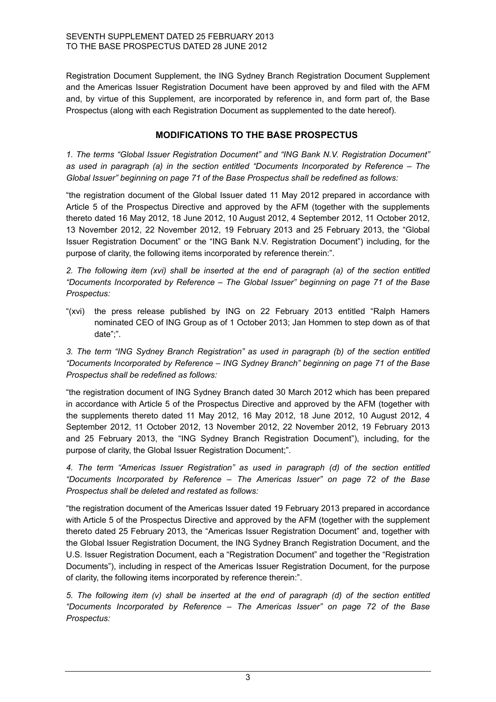Registration Document Supplement, the ING Sydney Branch Registration Document Supplement and the Americas Issuer Registration Document have been approved by and filed with the AFM and, by virtue of this Supplement, are incorporated by reference in, and form part of, the Base Prospectus (along with each Registration Document as supplemented to the date hereof).

#### **MODIFICATIONS TO THE BASE PROSPECTUS**

*1. The terms "Global Issuer Registration Document" and "ING Bank N.V. Registration Document" as used in paragraph (a) in the section entitled "Documents Incorporated by Reference – The Global Issuer" beginning on page 71 of the Base Prospectus shall be redefined as follows:* 

"the registration document of the Global Issuer dated 11 May 2012 prepared in accordance with Article 5 of the Prospectus Directive and approved by the AFM (together with the supplements thereto dated 16 May 2012, 18 June 2012, 10 August 2012, 4 September 2012, 11 October 2012, 13 November 2012, 22 November 2012, 19 February 2013 and 25 February 2013, the "Global Issuer Registration Document" or the "ING Bank N.V. Registration Document") including, for the purpose of clarity, the following items incorporated by reference therein:".

*2. The following item (xvi) shall be inserted at the end of paragraph (a) of the section entitled "Documents Incorporated by Reference – The Global Issuer" beginning on page 71 of the Base Prospectus:*

"(xvi) the press release published by ING on 22 February 2013 entitled "Ralph Hamers nominated CEO of ING Group as of 1 October 2013; Jan Hommen to step down as of that date";".

*3. The term "ING Sydney Branch Registration" as used in paragraph (b) of the section entitled "Documents Incorporated by Reference – ING Sydney Branch" beginning on page 71 of the Base Prospectus shall be redefined as follows:* 

"the registration document of ING Sydney Branch dated 30 March 2012 which has been prepared in accordance with Article 5 of the Prospectus Directive and approved by the AFM (together with the supplements thereto dated 11 May 2012, 16 May 2012, 18 June 2012, 10 August 2012, 4 September 2012, 11 October 2012, 13 November 2012, 22 November 2012, 19 February 2013 and 25 February 2013, the "ING Sydney Branch Registration Document"), including, for the purpose of clarity, the Global Issuer Registration Document;".

*4. The term "Americas Issuer Registration" as used in paragraph (d) of the section entitled "Documents Incorporated by Reference – The Americas Issuer" on page 72 of the Base Prospectus shall be deleted and restated as follows:*

"the registration document of the Americas Issuer dated 19 February 2013 prepared in accordance with Article 5 of the Prospectus Directive and approved by the AFM (together with the supplement thereto dated 25 February 2013, the "Americas Issuer Registration Document" and, together with the Global Issuer Registration Document, the ING Sydney Branch Registration Document, and the U.S. Issuer Registration Document, each a "Registration Document" and together the "Registration Documents"), including in respect of the Americas Issuer Registration Document, for the purpose of clarity, the following items incorporated by reference therein:".

*5. The following item (v) shall be inserted at the end of paragraph (d) of the section entitled "Documents Incorporated by Reference – The Americas Issuer" on page 72 of the Base Prospectus:*